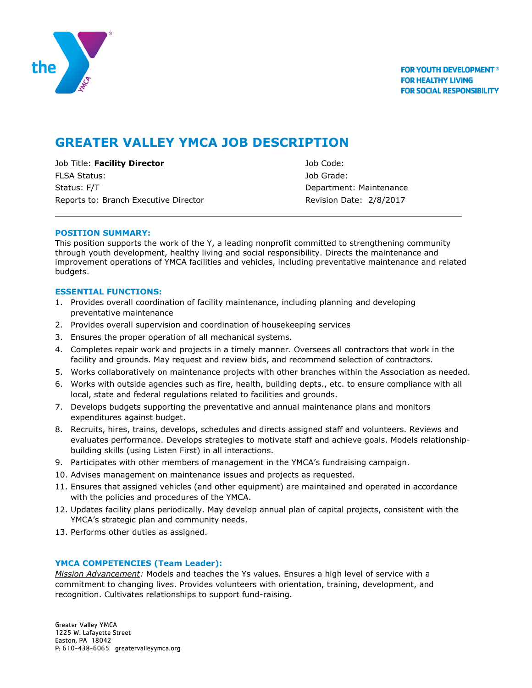

# **GREATER VALLEY YMCA JOB DESCRIPTION**

Job Title: **Facility Director** Job Code: FLSA Status: Job Grade: Status: F/T **Department: Maintenance** Reports to: Branch Executive Director Revision Date: 2/8/2017

# **POSITION SUMMARY:**

This position supports the work of the Y, a leading nonprofit committed to strengthening community through youth development, healthy living and social responsibility. Directs the maintenance and improvement operations of YMCA facilities and vehicles, including preventative maintenance and related budgets.

# **ESSENTIAL FUNCTIONS:**

- 1. Provides overall coordination of facility maintenance, including planning and developing preventative maintenance
- 2. Provides overall supervision and coordination of housekeeping services
- 3. Ensures the proper operation of all mechanical systems.
- 4. Completes repair work and projects in a timely manner. Oversees all contractors that work in the facility and grounds. May request and review bids, and recommend selection of contractors.
- 5. Works collaboratively on maintenance projects with other branches within the Association as needed.
- 6. Works with outside agencies such as fire, health, building depts., etc. to ensure compliance with all local, state and federal regulations related to facilities and grounds.
- 7. Develops budgets supporting the preventative and annual maintenance plans and monitors expenditures against budget.
- 8. Recruits, hires, trains, develops, schedules and directs assigned staff and volunteers. Reviews and evaluates performance. Develops strategies to motivate staff and achieve goals. Models relationshipbuilding skills (using Listen First) in all interactions.
- 9. Participates with other members of management in the YMCA's fundraising campaign.
- 10. Advises management on maintenance issues and projects as requested.
- 11. Ensures that assigned vehicles (and other equipment) are maintained and operated in accordance with the policies and procedures of the YMCA.
- 12. Updates facility plans periodically. May develop annual plan of capital projects, consistent with the YMCA's strategic plan and community needs.
- 13. Performs other duties as assigned.

# **YMCA COMPETENCIES (Team Leader):**

*Mission Advancement:* Models and teaches the Ys values. Ensures a high level of service with a commitment to changing lives. Provides volunteers with orientation, training, development, and recognition. Cultivates relationships to support fund-raising.

Greater Valley YMCA 1225 W. Lafayette Street Easton, PA 18042 P: 610-438-6065 greatervalleyymca.org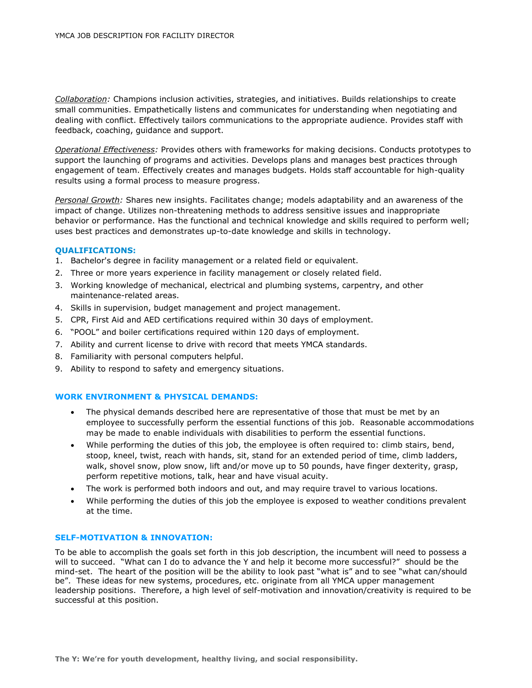*Collaboration:* Champions inclusion activities, strategies, and initiatives. Builds relationships to create small communities. Empathetically listens and communicates for understanding when negotiating and dealing with conflict. Effectively tailors communications to the appropriate audience. Provides staff with feedback, coaching, guidance and support.

*Operational Effectiveness:* Provides others with frameworks for making decisions. Conducts prototypes to support the launching of programs and activities. Develops plans and manages best practices through engagement of team. Effectively creates and manages budgets. Holds staff accountable for high-quality results using a formal process to measure progress.

*Personal Growth:* Shares new insights. Facilitates change; models adaptability and an awareness of the impact of change. Utilizes non-threatening methods to address sensitive issues and inappropriate behavior or performance. Has the functional and technical knowledge and skills required to perform well; uses best practices and demonstrates up-to-date knowledge and skills in technology.

#### **QUALIFICATIONS:**

- 1. Bachelor's degree in facility management or a related field or equivalent.
- 2. Three or more years experience in facility management or closely related field.
- 3. Working knowledge of mechanical, electrical and plumbing systems, carpentry, and other maintenance-related areas.
- 4. Skills in supervision, budget management and project management.
- 5. CPR, First Aid and AED certifications required within 30 days of employment.
- 6. "POOL" and boiler certifications required within 120 days of employment.
- 7. Ability and current license to drive with record that meets YMCA standards.
- 8. Familiarity with personal computers helpful.
- 9. Ability to respond to safety and emergency situations.

### **WORK ENVIRONMENT & PHYSICAL DEMANDS:**

- The physical demands described here are representative of those that must be met by an employee to successfully perform the essential functions of this job. Reasonable accommodations may be made to enable individuals with disabilities to perform the essential functions.
- While performing the duties of this job, the employee is often required to: climb stairs, bend, stoop, kneel, twist, reach with hands, sit, stand for an extended period of time, climb ladders, walk, shovel snow, plow snow, lift and/or move up to 50 pounds, have finger dexterity, grasp, perform repetitive motions, talk, hear and have visual acuity.
- The work is performed both indoors and out, and may require travel to various locations.
- While performing the duties of this job the employee is exposed to weather conditions prevalent at the time.

#### **SELF-MOTIVATION & INNOVATION:**

To be able to accomplish the goals set forth in this job description, the incumbent will need to possess a will to succeed. "What can I do to advance the Y and help it become more successful?" should be the mind-set. The heart of the position will be the ability to look past "what is" and to see "what can/should be". These ideas for new systems, procedures, etc. originate from all YMCA upper management leadership positions. Therefore, a high level of self-motivation and innovation/creativity is required to be successful at this position.